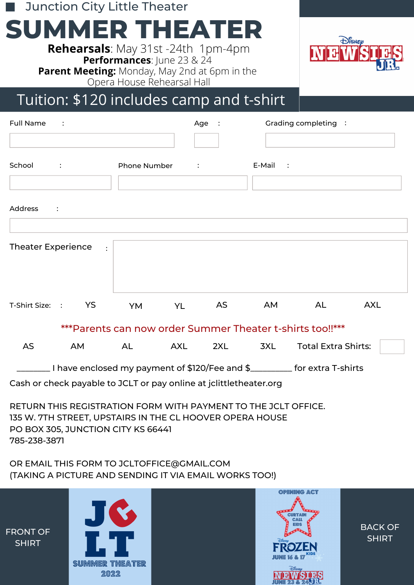Junction City Little Theater

# **SUMMER THEATER**

**Rehearsals**: May 31st -24th 1pm-4pm **Performances**: June 23 & 24 **Parent Meeting:** Monday, May 2nd at 6pm in the Opera House Rehearsal Hall



### Tuition: \$120 includes camp and t-shirt

| <b>Full Name</b><br>$\sim$ 1.                                   |                                                                                            |    |                                                                    |                           | Age :    |         | Grading completing : |                            |            |  |
|-----------------------------------------------------------------|--------------------------------------------------------------------------------------------|----|--------------------------------------------------------------------|---------------------------|----------|---------|----------------------|----------------------------|------------|--|
| School                                                          | $\mathcal{L}(\mathcal{L})$ and $\mathcal{L}(\mathcal{L})$ and $\mathcal{L}(\mathcal{L})$ . |    | Phone Number                                                       | $\sim 10^{11}$ M $_\odot$ |          |         | E-Mail :             |                            |            |  |
|                                                                 |                                                                                            |    |                                                                    |                           |          |         |                      |                            |            |  |
| Address<br>$\sim 100$ M $_{\odot}$                              |                                                                                            |    |                                                                    |                           |          |         |                      |                            |            |  |
| <b>Theater Experience</b><br>$\cdot$ :                          |                                                                                            |    |                                                                    |                           |          |         |                      |                            |            |  |
| T-Shirt Size: : YS                                              |                                                                                            |    |                                                                    |                           | YM YL AS |         | AM                   | AL.                        | <b>AXL</b> |  |
| *** Parents can now order Summer Theater t-shirts too!!***      |                                                                                            |    |                                                                    |                           |          |         |                      |                            |            |  |
| AS                                                              |                                                                                            | AM | AL AXL                                                             |                           |          | 2XL 3XL |                      | <b>Total Extra Shirts:</b> |            |  |
| Lacker Lines and \$120/Fee and \$ __________ for extra T-shirts |                                                                                            |    |                                                                    |                           |          |         |                      |                            |            |  |
|                                                                 |                                                                                            |    | Cash or check payable to JCLT or pay online at jclittletheater.org |                           |          |         |                      |                            |            |  |

RETURN THIS REGISTRATION FORM WITH PAYMENT TO THE JCLT OFFICE. 135 W. 7TH STREET, UPSTAIRS IN THE CL HOOVER OPERA HOUSE PO BOX 305, JUNCTION CITY KS 66441 785-238-3871

OR EMAIL THIS FORM TO JCLTOFFICE@GMAIL.COM (TAKING A PICTURE AND SENDING IT VIA EMAIL WORKS TOO!)



BACK OF SHIRT